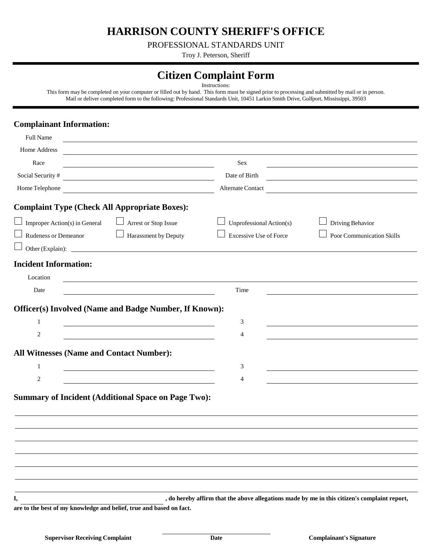**HARRISON COUNTY SHERIFF'S OFFICE**

PROFESSIONAL STANDARDS UNIT

Troy J. Peterson, Sheriff

## **Citizen Complaint Form**

Instructions:

This form may be completed on your computer or filled out by hand. This form must be signed prior to processing and submitted by mail or in person. Mail or deliver completed form to the following: Professional Standards Unit, 10451 Larkin Smith Drive, Gulfport, Mississippi, 39503

## **Complainant Information:**

| Full Name                                                                                                                                                        |                                                                                              |
|------------------------------------------------------------------------------------------------------------------------------------------------------------------|----------------------------------------------------------------------------------------------|
| Home Address                                                                                                                                                     |                                                                                              |
| Race                                                                                                                                                             | Sex                                                                                          |
| Social Security #<br><u> 1989 - Johann Barn, mars ann an t-Amhain Aonaich an t-Aonaich an t-Aonaich ann an t-Aonaich ann an t-Aonaich</u>                        | Date of Birth<br><u> 1989 - Johann Stein, fransk politik (d. 1989)</u>                       |
| Home Telephone                                                                                                                                                   | Alternate Contact                                                                            |
| <b>Complaint Type (Check All Appropriate Boxes):</b>                                                                                                             |                                                                                              |
| $\Box$<br>$\Box$ Improper Action(s) in General<br>Arrest or Stop Issue                                                                                           | Unprofessional Action(s)<br>$\Box$<br>Driving Behavior                                       |
| Rudeness or Demeanor<br><b>Contract Contract Contract Contract</b><br>Harassment by Deputy                                                                       | <b>Excessive Use of Force</b><br>Poor Communication Skills                                   |
| $\Box$ Other (Explain):                                                                                                                                          |                                                                                              |
| <b>Incident Information:</b>                                                                                                                                     |                                                                                              |
| Location                                                                                                                                                         |                                                                                              |
| Date<br>the control of the control of the control of the control of the control of                                                                               | Time                                                                                         |
| Officer(s) Involved (Name and Badge Number, If Known):<br>$\mathbf{1}$<br>2<br><b>All Witnesses (Name and Contact Number):</b><br>$\mathbf{1}$<br>$\overline{c}$ | 3<br>4<br>3<br>$\overline{4}$                                                                |
| <b>Summary of Incident (Additional Space on Page Two):</b>                                                                                                       |                                                                                              |
|                                                                                                                                                                  |                                                                                              |
|                                                                                                                                                                  |                                                                                              |
|                                                                                                                                                                  |                                                                                              |
|                                                                                                                                                                  |                                                                                              |
|                                                                                                                                                                  |                                                                                              |
|                                                                                                                                                                  |                                                                                              |
| I,                                                                                                                                                               | , do hereby affirm that the above allegations made by me in this citizen's complaint report, |

**are to the best of my knowledge and belief, true and based on fact.**